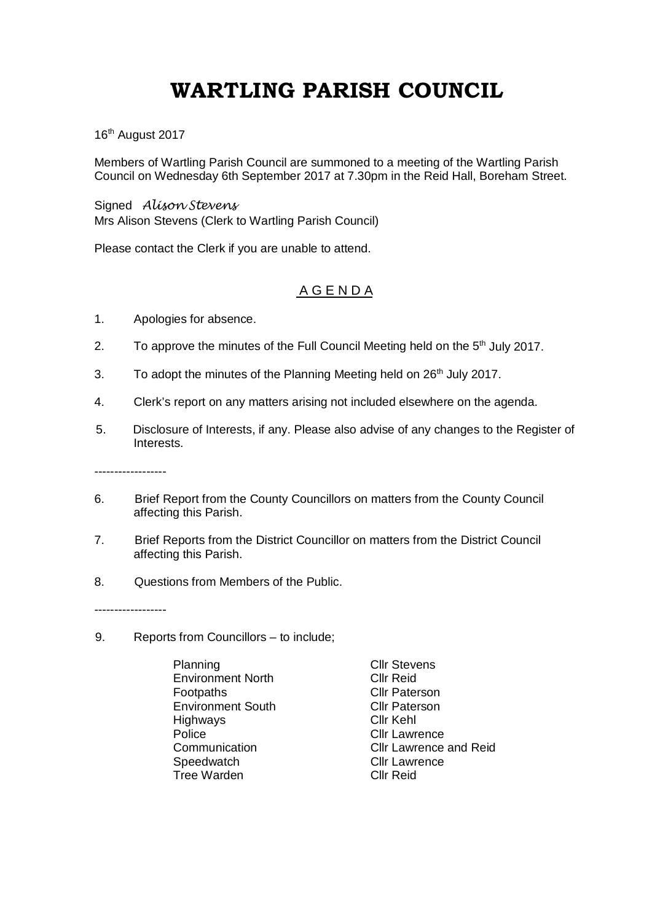## **WARTLING PARISH COUNCIL**

16<sup>th</sup> August 2017

Members of Wartling Parish Council are summoned to a meeting of the Wartling Parish Council on Wednesday 6th September 2017 at 7.30pm in the Reid Hall, Boreham Street.

Signed *Alison Stevens* Mrs Alison Stevens (Clerk to Wartling Parish Council)

Please contact the Clerk if you are unable to attend.

## A G E N D A

- 1. Apologies for absence.
- 2. To approve the minutes of the Full Council Meeting held on the  $5<sup>th</sup>$  July 2017.
- 3. To adopt the minutes of the Planning Meeting held on 26<sup>th</sup> July 2017.
- 4. Clerk's report on any matters arising not included elsewhere on the agenda.
- 5. Disclosure of Interests, if any. Please also advise of any changes to the Register of Interests.

------------------

- 6. Brief Report from the County Councillors on matters from the County Council affecting this Parish.
- 7. Brief Reports from the District Councillor on matters from the District Council affecting this Parish.
- 8. Questions from Members of the Public.

------------------

- 9. Reports from Councillors to include;
	- Planning Cllr Stevens Environment North<br>Footpaths Environment South Cllr Pate<br>Highways Cllr Kehl Highways Police Communication Cllr Lawrence<br>Communication Cllr Lawrence Speedwatch Cllr Lawrence<br>
	Tree Warden Cllr Reid Tree Warden

**Cllr Paterson**<br>Cllr Paterson Cllr Lawrence and Reid